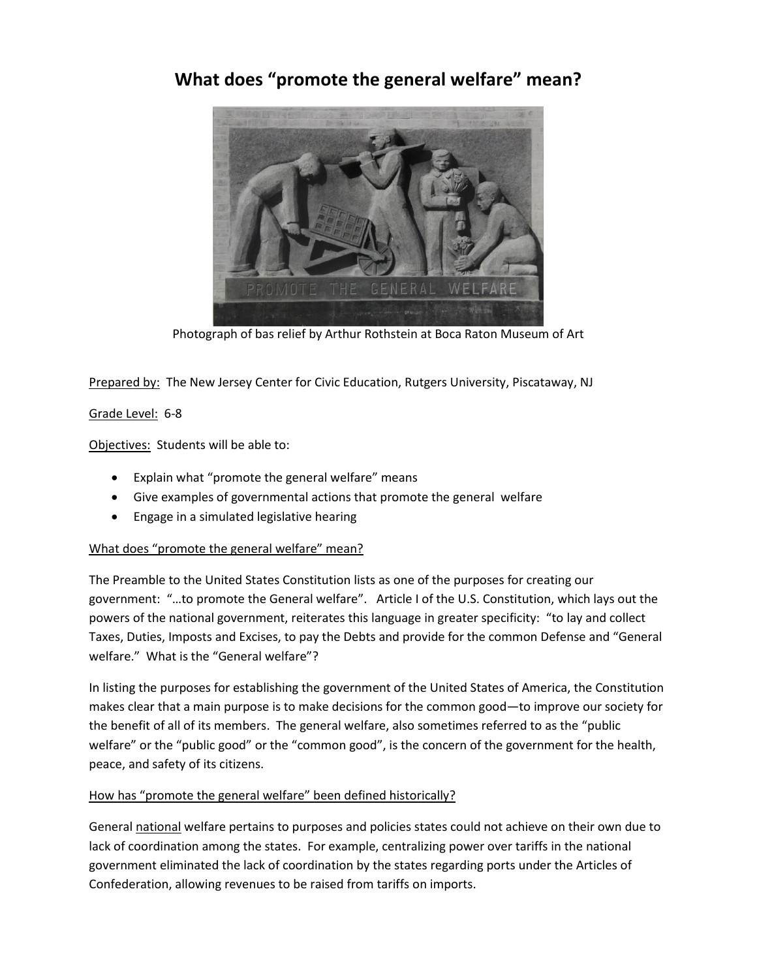## **What does "promote the general welfare" mean?**



Photograph of bas relief by Arthur Rothstein at Boca Raton Museum of Art

Prepared by: The New Jersey Center for Civic Education, Rutgers University, Piscataway, NJ

## Grade Level: 6-8

Objectives: Students will be able to:

- Explain what "promote the general welfare" means
- Give examples of governmental actions that promote the general welfare
- Engage in a simulated legislative hearing

## What does "promote the general welfare" mean?

The Preamble to the United States Constitution lists as one of the purposes for creating our government: "…to promote the General welfare". Article I of the U.S. Constitution, which lays out the powers of the national government, reiterates this language in greater specificity: "to lay and collect Taxes, Duties, Imposts and Excises, to pay the Debts and provide for the common Defense and "General welfare." What is the "General welfare"?

In listing the purposes for establishing the government of the United States of America, the Constitution makes clear that a main purpose is to make decisions for the common good—to improve our society for the benefit of all of its members. The general welfare, also sometimes referred to as the "public welfare" or the "public good" or the "common good", is the concern of the government for the health, peace, and safety of its citizens.

## How has "promote the general welfare" been defined historically?

General national welfare pertains to purposes and policies states could not achieve on their own due to lack of coordination among the states. For example, centralizing power over tariffs in the national government eliminated the lack of coordination by the states regarding ports under the Articles of Confederation, allowing revenues to be raised from tariffs on imports.